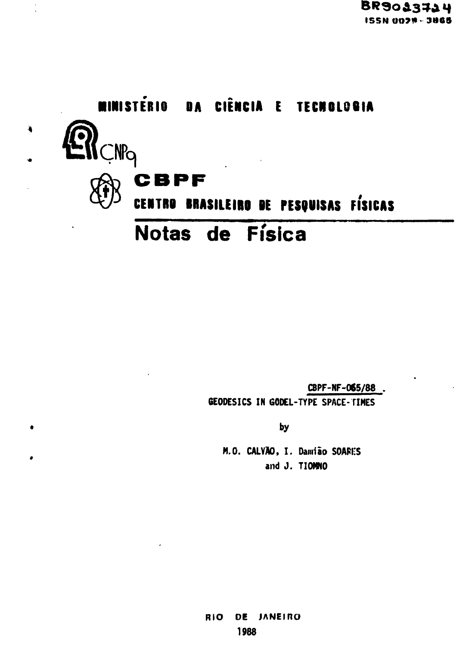

CBPF-NF-065/88

GEODESICS IN GODEL-TYPE SPACE-TIMES

by

M.O. CALVÃO, I. Damião SOARES and J. TIOMNO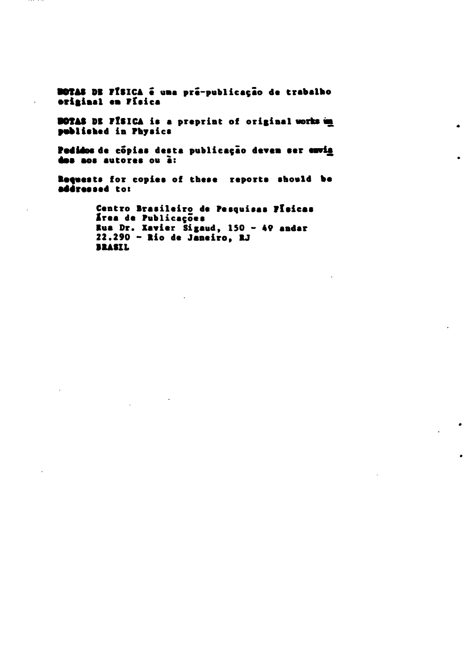BOTAS DE FÍSICA é uma pré-publicação de trabalho original en Física

BOTAS DE FÍSICA is a preprint of original works im published in Physics

Pedidos de cópias desta publicação deven ser envia dos aos autores ou à:

Requests for copies of these reports should be addressed to:

> Centro Brasileiro de Pesquisas Pleicas Área de Publicações Rua Dr. Xavier Sigaud,  $150 - 49$  andar  $22.290 -$  Rio de Janeiro. RJ **BRASIL**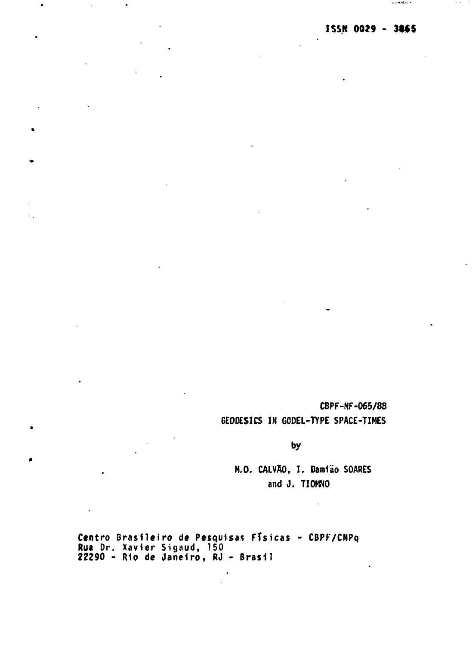and delivery in

CBPF-NF-065/88 GEODESICS IN GODEL-TYPE SPACE-TIMES

by

M.O. CALVÃO, I. Damião SOARES and J. TIOMNO

Centro Brasileiro de Pesquisas Físicas - CBPF/CNPq Rua Dr. Xavier Sigaud, 150 22290 - Rio de Janeiro , RJ - Brasi l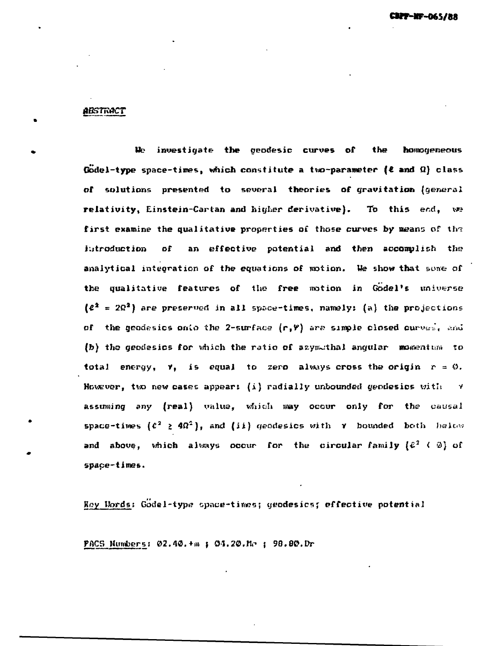#### *gBSTROCT*

**We investigate the geodesic curves of the homogeneous Godel-type space-times, which constitute a two-parameter (t and Q) claps of solutions presented to several theories of gravitation (general relativity, Einstein-Cartan and higher derivative). To this end, we first examine the qualitative properties of those curves by weans of tlrs introduction of an effective potential and then accomplish the analytical integration of the equations of motion. Me show that sone of the qualitative features of the free motion in Godel's universe (£<sup>a</sup> = 2Q<sup>2</sup>) are preserved in all space-times, namely: (a) the projections of the geodesies onto the 2-surfaee (rfV) arc? sample closed curves J( ««J** (b) the geodesics for which the ratio of azymithal angular momentum to **total energy,**  $\gamma$ **, is equal to zero always cross the origin**  $r = 0$ **. Howevor, tvo new cases appears (i) radially unbounded geodesies with v assuming any (real) value, which may occur only for the causal space-times**  $(c^2 \geq 4\Omega^2)$ **, and (ii) geodesics with**  $\gamma$  **bounded both helow** and above, which always occur for the circular family  $\{E^2 \le \emptyset\}$  of **space-times.**

**K.?y Words: Godel-typ»? opnue-tirrws; yeodesicsj effective potential**

**PflCS MunJbers; 02.40.+m J O4.2O.Kr> | 98.80.Dr**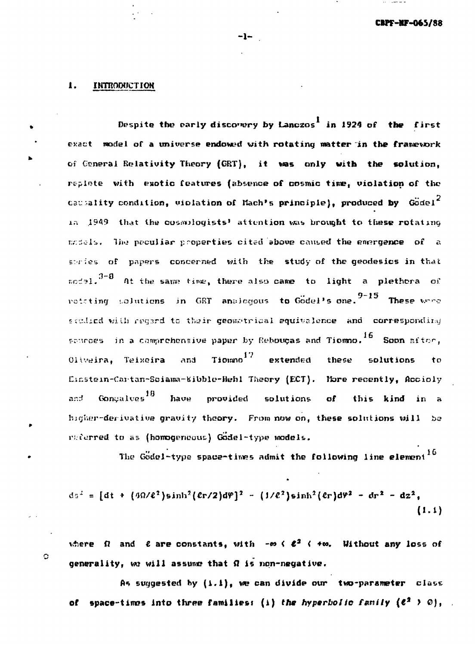#### **INTRODUCTION** ı.

 $\circ$ 

Despite the early discovery by Lanczos<sup>1</sup> in 1924 of the first exact model of a universe endowed with rotating matter in the framework of Ceneral Relativity Theory (GRT), it was only with the solution, replate with exotic features (absence of cosmic time, violation of the causality condition, violation of Mach's principle), produced by  $G\ddot{o}dei^2$ in 1949 that the cosmilogists' attention was brought to these rotating models. The peouliar properties cited above caused the emergence of a stries of papers concerned with the study of the geodesics in that  $\frac{1}{2}$  at the same time, there also came to light a plethora of rotating solutions in GRT analogous to Godel's one.<sup>9-15</sup> These ware studied with regard to their geometrical equivalence and corresponding scurces in a comprehensive paper by Rebouças and Tiemmo.  $^{16}$  Soon after, Tiomno<sup>17</sup> Oliveira, Teixeira **Ens.** extended solutions these  $to$ Einstein-Cartan-Sciama-Kibble-Hehl Theory (ECT). More recently, Accioly Gonçalves<sup>18</sup> have and provided solutions  $\mathbf{d}$ this kind in a higher-derivative gravity theory. From now on, these solutions will be raterred to as (homogeneous) Godel-type models.

The  $600e1$ -type space-times admit the following line element<sup>16</sup>

$$
ds^{2} = [dt + (4\Omega/\ell^{2})\sinh^{2}(\ell r/2)d\varphi]^{2} - (1/\ell^{2})\sinh^{2}(\ell r)d\varphi^{2} - dr^{2} - dz^{2},
$$
\n(1.1)

where  $\Omega$  and  $\ell$  are constants, with  $-\infty \in \ell^2$  (  $+\infty$ . Without any loss of generality, we will assume that  $\Omega$  is non-negative.

As suggested by  $(1.1)$ , we can divide our two-parameter class of space-times into three families: (i) the hyperbolic family  $(e^2 \t > 0)$ ,

-1-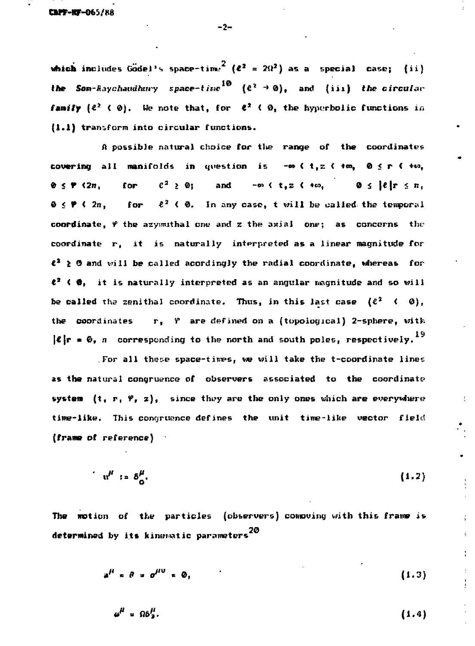**(frame of reference)**

**which includes Godel's space-time<sup>2</sup> (** $\ell^2$  **=**  $2\Omega^2$ **) as a special case;** (ii) the Som-Raychaudhury space-time<sup>10</sup> ( $e^{\lambda} \rightarrow 0$ ), and (iii) the circular **Ifte Som-Raychaudhttry spuce-i trie (€\* ~\* 0)§ and (i i 1) (lie circular family**  $\mathbf{F}$  **(€**  $\mathbf{F}$  =  $\mathbf{F}$  =  $\mathbf{F}$  =  $\mathbf{F}$  =  $\mathbf{F}$  =  $\mathbf{F}$  =  $\mathbf{F}$  =  $\mathbf{F}$  =  $\mathbf{F}$  =  $\mathbf{F}$  =  $\mathbf{F}$  =  $\mathbf{F}$  =  $\mathbf{F}$  =  $\mathbf{F}$  =  $\mathbf{F}$  =  $\mathbf{F}$  =  $\mathbf{F}$  =  $\mathbf{F}$  = (1.1) transform into circular functions. **(1.1) transform into circular functions.**

 $\mathcal{L} = \{x_1, x_2, \ldots, x_n\}$  and  $\mathcal{L} = \{x_1, x_2, \ldots, x_n\}$  ,  $\mathcal{L} = \{x_1, x_2, \ldots, x_n\}$  ,  $\mathcal{L} = \{x_1, x_2, \ldots, x_n\}$ for **0 < \* <2n, for €<sup>a</sup> > 0; and -«» < t,s < •«», 0 < |«|r < n,**  $\mathbf{\Theta} \leq \mathbf{\Psi} \leq 2n$ , **0 < ¥ < 2rt, for I<sup>2</sup> < 0. In any case, t will be called, the temporal**  $\ell^2 \geq 0$  and will be called acordingly the radial coordinate, whereas for **the contract of the contract of the contract magnitude as an angular magnitude as an angular magnitude and so** the coordinates  $r_1$   $\theta$  are defined on a (topological) 2-sphere, with  $\lvert \ell \rvert$ **r** =  $\theta$ , *n* corresponding to the north and south poles, respectively.<sup>19</sup>

**system**  $(t, r, \varphi, z)$ , since they are the only ones which are everywhere time-like. This congruence defines the unit time-like vector field

$$
u^{\mu} := \delta^{\mu}_{\alpha}.
$$
 (1.2)

The motion of the particles (observers) compuing with this frame is de<mark>termined</mark> by its kinematic parameters<sup>20</sup>

 $a^{\mu} = \theta = \sigma^{\mu\nu} = \phi$ , (1.3)

$$
\omega^{\mu} = \Omega \delta^{\mu} \tag{1.4}
$$

**-2-**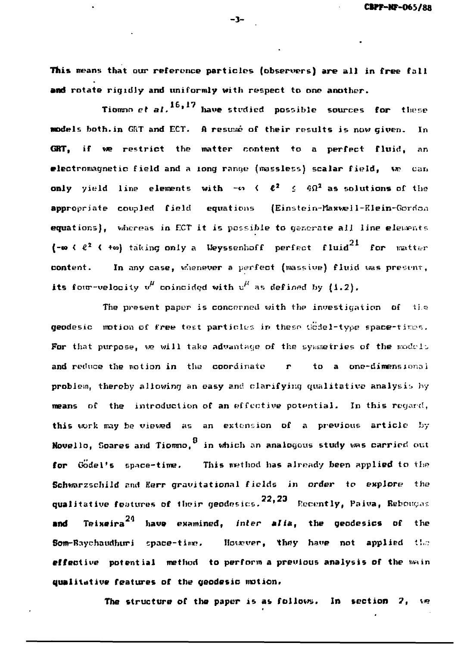This means that our reference particles (observers) are all in free fall and rotate rigidly and uniformly with respect to one another.

Tiomsn et al.<sup>16,17</sup> have studied possible sources for these models both.in CRT and ECT. A resume of their results is now given. In GRT, if we restrict the matter content to a perfect fluid, an electromagnetic field and a long ranqe (massless) scalar field, WP can only yield line elements with  $-\epsilon_1$  (  $\ell^2 \leq 4\Omega^2$  as solutions of the appropriate coupled field equations (Einstein-Haxwell-KIein-Gorrion equations), whereas in ECT it is possible to generate all line elements (- $\infty$  (  $e^2$  ( + $\infty$ ) taking only a Weyssenhoff perfect fluid<sup>21</sup> for matter content. In any case, whenever a perfect (massive) fluid was present, its four-velocity  $v^{\mu}$  coincided with  $u^{\mu}$  as defined by (1.2).

The present paper is concerned with the investigation of the geodesic motion of free test particles in these Godel-type space-times. For that purpose, we will take advantage of the symmetries of the models and reduce the notion in the coordinate  $r$  to a one-dimensional probiem, thereby allowing an easy and clarifying qualitative analysis hy means of the introduction of an effective potential. In this regard, this work may be viewed as an extension of a previous article by Novello, Scares and Tiomno, in which an analogous study was carried out for Godel's space-time. This method has already been applied to the Schwarzschild and Kerr gravitational fields in order to explore the qualitative features of their geodesics. $^{22,23}$  [Recently, Paiva, Rebougas **and** Teixeira<sup>24</sup> have examined, *inter alia*, the geodesics of the Som-Baychaudhuri space-time. However, they have not applied the effective potential method to perform a previous analysis of the main qualitative features of the geodesic motion.

The structure of the paper is as follows. In section  $2$ ,

 $-3-$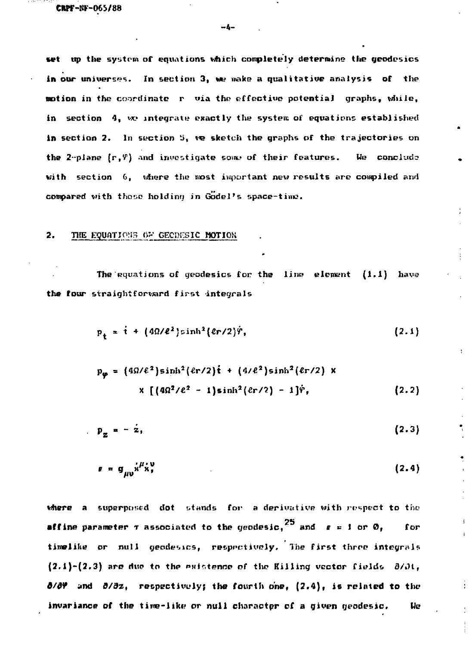**set up the system of equations which completely determine the geodesies** in our universes. In section 3, we make a qualitative analysis of the **notion in the coordinate r via the effective potential graphs, while,** in section 4, we integrate exactly the system of equations established in section 2. In section 5, we sketch the graphs of the trajectories on the 2-plane  $(r, \vartheta)$  and investigate some of their features. We conclude **with section 6, where the most important nev; results are compiled arui compared vith those holding in Godel's space-tine.**

# **2.** THE EQUATIONS OF GEODESIC MOTION

The equations of geodesics for the line element  $(1.1)$  have the four straightforward first integrals

$$
p_{+} = \dot{\tau} + (4\Omega/\ell^2)\sinh^2(\ell r/2)\dot{r}, \qquad (2.1)
$$

$$
p_{\varphi} = (4\Omega/\ell^2)\sinh^2(\ell r/2)\dot{\tau} + (4\ell^2)\sinh^2(\ell r/2) \times
$$
  
 
$$
\times [(4\Omega^2/\ell^2 - 1)\sinh^2(\ell r/2) - 1]\dot{\tau}, \qquad (2.2)
$$

**P**<sub>B</sub><sub> $=$ </sub> = - z<sub>1</sub> (2.3)

$$
e = g_{\mu\nu} x^{\mu} x^{\nu}
$$
 (2.4)

where a superposed dot stands for a derivative with respect to the **affine** parameter  $\tau$  associated to the geodesic, $^{25}$  and  $\epsilon$  = 1 or 0,  $\qquad$  for **timelihe or null geodesies, respectively. The first thrre integral?**  $(2.1)-(2.3)$  are due to the existence of the Killing vector fields  $\partial/\partial t$ , **6/df and d/dz, respectively; the fourth one, (2.4), is related to the invariance of the time-like or null character of a given geodesic. We**

**-4-**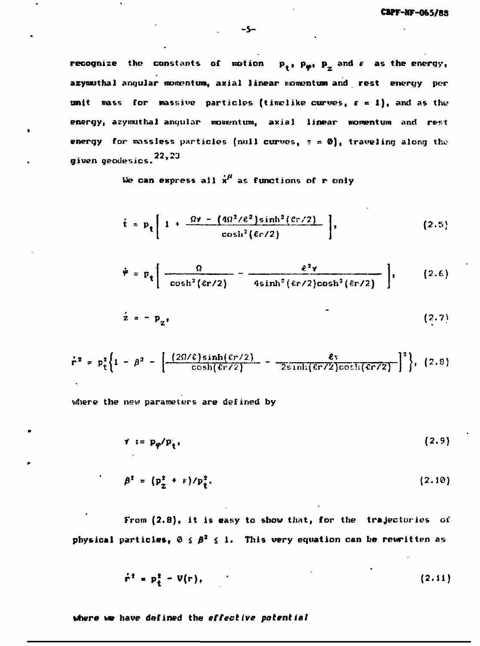**recognize** the constants of motion  $p_+, p_{\omega}, p_+$  and  $\epsilon$  as the energy, azymuthal angular momentum, axial linear momentum and rest energy per **unit mass for massive particles (timelike curves, r « 1), and as the** energy, azymuthal angular momentum, axial linear momentum and rest **energy** for massless particles (null curves,  $s = 0$ ), traveling along the **given geo**desi**cs.<sup>22,23</sup>** 

**Ue can express all x<sup>1</sup>' as functions of r only**

$$
\dot{t} = p_t \left[ 1 + \frac{\Omega \nu - (4\Omega^2/\ell^2) \sinh^2(\ell r/2)}{\cosh^2(\ell r/2)} \right],
$$
 (2.5)

$$
\dot{\varphi} = p_t \left[ \frac{\Omega}{\cosh^2(\epsilon r/2)} - \frac{\ell^2 \gamma}{4 \sinh^2(\epsilon r/2) \cosh^2(\epsilon r/2)} \right], \qquad (2.6)
$$

$$
\dot{\mathbf{z}} = -\mathbf{p}_{\mathbf{z}^{\dagger}} \tag{2.7}
$$

$$
\dot{r}^2 = p_t^2 \bigg\{ 1 - \beta^2 - \bigg[ \frac{(2\Omega/\ell)\sinh(\ell r/2)}{\cosh(\ell r/2)} - \frac{\ell r}{2 \sinh(\ell r/2)\cosh(\ell r/2)} \bigg]^2 \bigg\}, (2.8)
$$

**the nev; parameters are defined by**

$$
\gamma := p_{\varphi}/p_{\tau}, \qquad (2.9)
$$

$$
\beta^2 = \left(p_{\alpha}^2 + \varepsilon\right)/p_{\varepsilon}^2. \tag{2.10}
$$

**From (2.B), it is easy to show that, for the trajectories of physical particles,**  $0 \leq \beta^2 \leq 1$ **. This very equation can be rewritten as** 

$$
\dot{\mathbf{r}}^{\mathbf{t}} = \mathbf{p}_{\mathbf{t}}^{\mathbf{t}} - \mathbf{V}(\mathbf{r}), \tag{2.11}
$$

**where v» have defined the effective potential**

**-5-**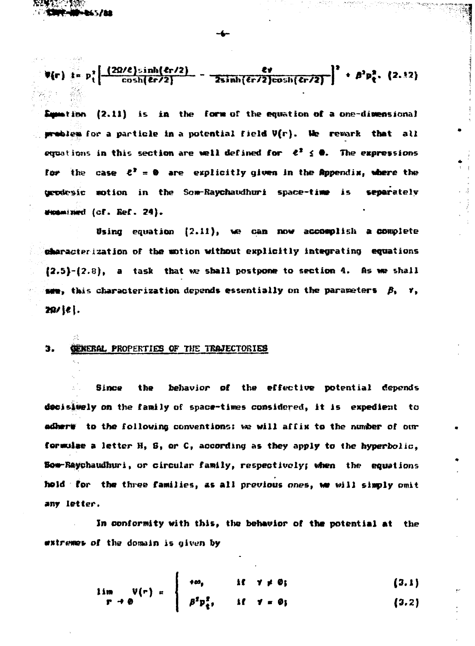-145718

 $\epsilon$ **y**  $\epsilon$  +  $\beta$ <sup>2</sup>  $\mu$ <sup>2</sup>

**(2.11) is in the form of the equation of a one-diwensional for a particle in a potential field V(r). We rewark that all etjuotitms in this section are well defined for €\* £ •. The expressions for the case C\* = © are explicitly given in the Appendix, ubere the notion in the Som-Rayehaudhuri space-tiw» is separately (cf. Eef. 24) .**

**0sing equation (2.11), we can now accomplish a complete characterization of the notion without explicitly integrating equations**  $\{2.5\}$ - $\{2.8\}$ , a task that we shall postpone to section 4. As we shall  $\frac{1}{2}$  **this characterization depends essentially on the parameters**  $\beta_1$ **,**  $\gamma_2$ 29/ [e].

# **\*• GENERAL PROPERTIES OF THE TRAJECTORIES**

**Since the behavior of the effective potential depends decisively on the family of space-tines considered, it is expedient to adherw** to the following conventions: we will affix to the number of our **formulae a letter H, S, or C, according as they apply to the hyperbolic, BowRaychaudhuri, or circular family, respectively; when the equations hold for the three families, as all previous ones, \m will simply omit any letter.**

**In conformity with this, the behavior of the potential at the mntremeb of the domain is given by**

$$
\lim_{\Gamma \to 0} V(r) = \begin{cases} +\omega_1 & \text{if } \gamma \neq 0; \\ \beta^2 p_1^2, & \text{if } \gamma = 0; \end{cases}
$$
 (3.1)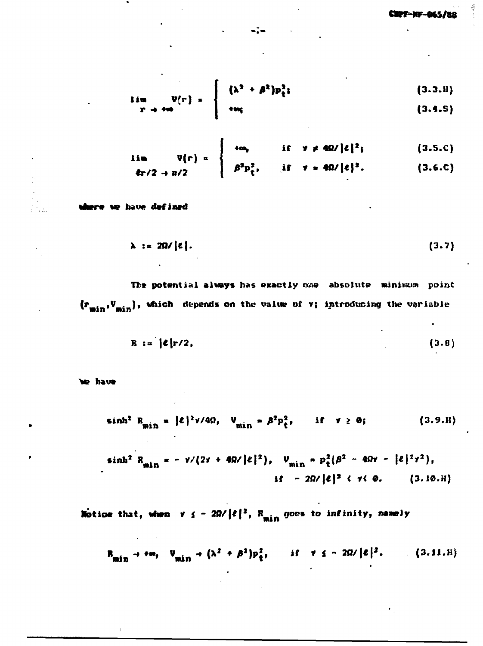$$
\lim_{\Gamma \to +\infty} \Psi(\Gamma) = \begin{cases} (\lambda^2 + \beta^2) p_{\xi}^2; & (3.3.8) \\ +\omega_{\xi} & (3.4.5) \end{cases}
$$

$$
\lim_{\mathcal{E}_{\Gamma}/2 \to R/2} \mathbb{V}^{\{r\}} = \begin{cases} +\omega_{r} & \text{if } \gamma \neq 4\Omega/\lvert \ell \rvert^{2}; \\ \beta^{2} p_{t}^{2}, & \text{if } \gamma = 4\Omega/\lvert \ell \rvert^{2}. \end{cases}
$$
 (3.5.0)

<del>rre we</del> have defined

$$
\lambda := 2\Omega/\left| \varepsilon \right| \tag{3.7}
$$

The potential always has exactly one absolute minimum point  $(r_{\min}, V_{\min})$ , which depends on the value of  $\tau$ ; introducing the variable

$$
R := \{ \mathcal{E} \mid r/2, \tag{3.8} \}
$$

e have

$$
\sinh^2 R_{\min} = |\mathcal{E}|^2 \gamma / 4\Omega, \quad V_{\min} = \beta^2 p_{\xi}^2, \qquad \text{if} \quad \gamma \ge 0; \tag{3.9.8}
$$

$$
\sinh^{2} R_{\min} = -\nu/(2\nu + 4\Omega/\ell|^{2}), \quad V_{\min} = p_{t}^{2}(\beta^{2} - 4\Omega\nu - \ell|^{2}\nu^{2}),
$$
  
if  $-2\Omega/\ell|^{2} \langle \nu(\theta, \ell)|$  (3.10.0)

Notice that, when  $y \le -2\Omega/\ell^2$ ,  $R_{min}$  goes to infinity, namely

$$
\mathbf{R}_{\min} \rightarrow +\mathbf{w}, \quad \mathbf{V}_{\min} \rightarrow (\lambda^2 + \beta^2) \mathbf{p}_{\hat{\mathbf{t}}}^2, \qquad \text{if} \quad \forall \quad \mathbf{s} = 2\mathbf{Q}/|\mathbf{\epsilon}|^2. \tag{3.11. H}
$$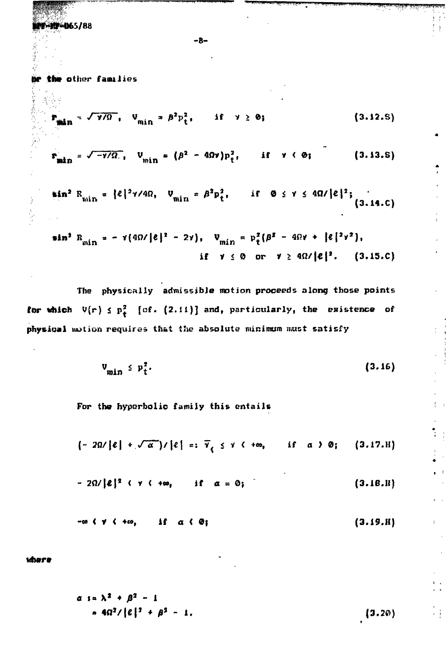**40065/88** 

表示いた

Ĵ

**-8-**

(Wf **the** other families

$$
\sin^{-1} \sqrt{\gamma/9}, \quad V_{\min} = \beta^2 p_t^2, \qquad \text{if} \quad \gamma \ge 0; \tag{3.12.5}
$$

$$
\mathbf{F}_{\min} = \sqrt{-\gamma/\Omega}, \quad \mathbf{U}_{\min} = (\beta^2 - 4\Omega\mathbf{v})\mathbf{p}_t^2, \quad \text{if} \quad \mathbf{v} \in \mathbf{0}; \tag{3.13.5}
$$

**J <sup>2</sup> P J, if 0 s y <** min  $r + t$  (3.14.C)

$$
\sin^2 B_{\min} = \gamma(4\Omega/|\ell|^2 - 2\gamma), \quad V_{\min} = p_t^2(\beta^2 - 4\Omega\gamma + |\ell|^2\gamma^2),
$$
  
if  $\gamma \le 0$  or  $\gamma \ge 4\Omega/|\ell|^2$ . (3.15.0)

**The physically admissible motion proceeds along those points for which**  $V(r) \le p_t^2$  [cf. (2.11)] and, particularly, the existence of physical notion requires that the absolute minimum must satisfy

$$
\mathbf{v}_{\min} \leq \mathbf{p}_t^2. \tag{3.16}
$$

For the hyperbolic family this entails

$$
(-2\Omega/\ell)+\sqrt{\alpha})/\ell|=: \bar{Y}_{\ell} \leq \gamma \leq +\infty, \quad \text{if} \quad \alpha \geq 0; \quad (3.17.8)
$$

$$
-2\Omega/\vert\boldsymbol{\ell}\vert^2 + \gamma + \infty, \qquad \text{if} \quad \alpha = 0; \qquad (3.18.11)
$$

$$
-\omega \left( \gamma \left( 4\omega \right) \right) \text{ if } \alpha \left( \varnothing \right) \tag{3.19.8}
$$

**where**

$$
\alpha s = \lambda^2 + \beta^2 - 1
$$
  
\n
$$
\alpha s = 4\Omega^2 / |\ell|^2 + \beta^2 - 1.
$$
 (3.20)

차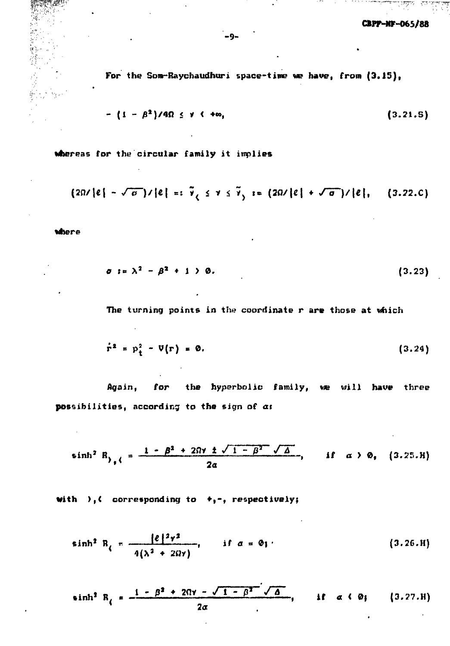$-0.9.3 - 0.02$ 

For the Som-Raychaudhuri space-time we have, from  $(3.15)$ ,

$$
\cdot (1 - \beta^2)/4\Omega \leq \gamma \leq +\infty, \qquad (3.21.5)
$$

whereas for the circular family it implies

$$
(2\Omega/\lvert \ell \rvert - \sqrt{\sigma})/\lvert \ell \rvert =: \tilde{\gamma}, \leq \gamma \leq \tilde{\gamma}, := (2\Omega/\lvert \ell \rvert + \sqrt{\sigma})/\lvert \ell \rvert, (3.22.0)
$$

where

$$
\sigma := \lambda^2 - \beta^2 + 1 > 0. \tag{3.23}
$$

The turning points in the coordinate r are those at which

$$
\dot{\mathbf{r}}^2 = \mathbf{p}_t^2 - \mathbf{V}(\mathbf{r}) = \mathbf{0}.
$$
 (3.24)

Again, for the hyperbolic family, we will have three possibilities, according to the sign of a:

$$
\sinh^{2} R_{y} = \frac{1 - \beta^{2} + 2\Omega y \pm \sqrt{1 - \beta^{2} - \sqrt{\Delta}}}{2\alpha}, \quad \text{if} \quad \alpha > 0, \quad (3.25.1)
$$

with  $),$  corresponding to  $+,$ -, respectively;

$$
\sinh^2 R_i = \frac{|e|^2 \gamma^2}{4(\lambda^2 + 2\Omega \gamma)}, \quad \text{if } \alpha = 0_1 \tag{3.26.8}
$$

sinh<sup>2</sup> R<sub>l</sub> = 
$$
\frac{1 - \beta^2 + 2\Omega r - \sqrt{1 - \beta^2} \sqrt{\Delta}}{2\alpha}
$$
, if  $\alpha \langle \emptyset$ ; (3.27.8)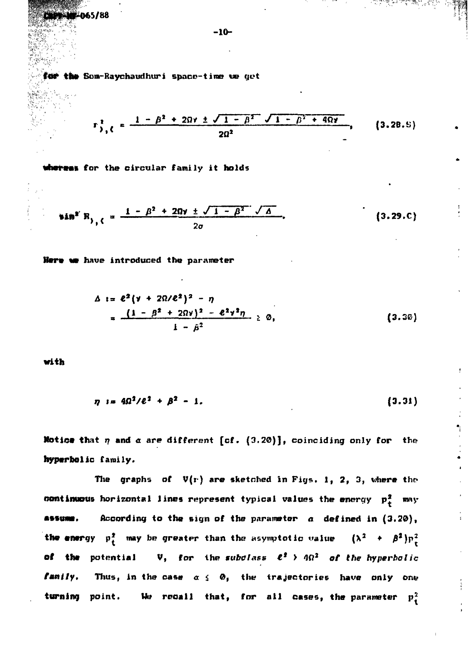for the Som-Raychaudhuri space-time we get

$$
\Gamma_{\frac{3}{2},\zeta}^{2} = \frac{1 - \beta^{2} + 2\Omega\gamma \pm \sqrt{1 - \beta^{2} + 1 - \beta^{2} + 4\Omega\gamma}}{2\Omega^{2}},
$$
 (3.28.5)

whereas for the circular family it holds

$$
sin^{2} R_{y,0} = \frac{1 - \beta^2 + 20y \pm \sqrt{1 - \beta^2} \sqrt{\Delta}}{2\sigma}
$$
 (3.29.0)

Here we have introduced the parameter

$$
\Delta := e^{2}(\nu + 2\Omega/e^{2})^{2} - \eta
$$
  
= 
$$
\frac{(1 - \beta^{2} + 2\Omega\nu)^{2} - e^{2}\nu^{2}\eta}{1 - \beta^{2}} \ge 0,
$$
 (3.30)

with

$$
\eta := 4\Omega^2/\ell^2 + \beta^2 - 1. \tag{3.31}
$$

Notice that  $\eta$  and  $\alpha$  are different [cf. (3.20)], coinciding only for the hyperbolic family.

The graphs of  $V(r)$  are sketched in Figs. 1, 2, 3, where the continuous horizontal lines represent typical values the energy  $p_+^2$  may According to the sign of the parameter  $\alpha$  defined in  $(3.20)$ , ASSUME. the energy  $p_t^2$  may be greater than the asymptotic value  $(\lambda^2 + \beta^2)p_t^2$ of the potential  $V$ , for the subclass  $e^t$  >  $4\Omega^2$  of the hyperbolic family. Thus, in the case  $\alpha \leq 0$ , the trajectories have only one We recall that, for all cases, the parameter  $p_{\pm}^2$ turning point.

 $-10-$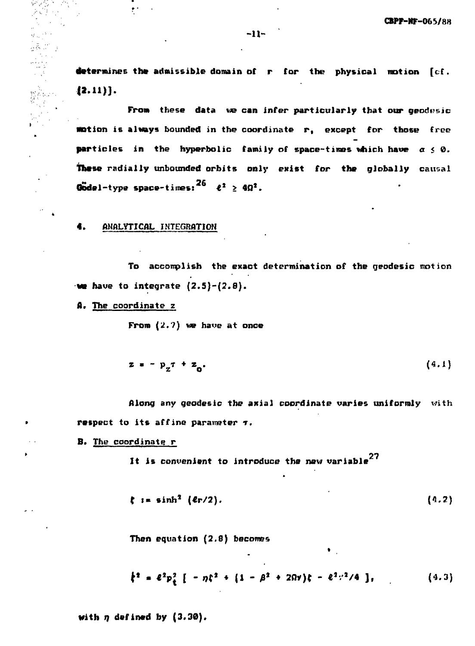**determines the admissible domain of r for the physical notion [cf.**  $\{2.11\}$ .

**From these data we can infer particularly that our geodesic notion is always bounded in the coordinate r, except for those free particles in the hyperbolic family of space-times which have**  $\alpha \leq 0$ **. These radially unbounded orbits only exist for the globally causal Godel-type space-times:** $26$   $2^2$   $\geq 4\Omega^2$ .

#### **•• ANALYTICAL INTEGRATION**

r.

မွတ်သော် ဒု

 $\lambda$  .

**To accomplish the exact determination of the geodesic motion**  $\mathbf{w}$  have to integrate  $(2.5)-(2.8)$ .

**A\* The coordinate z**

**From (2.7) we have at once**

$$
z = -p_{z} \tau + z_{0} \tag{4.1}
$$

**Along any geodesic the axial coordinate varies uniformly with respect to its affine parameter**  $\tau$ **.** 

**B. The coordinate r**

**27 It is convenient to introduce the new variable**

$$
\zeta := \sinh^2 (4r/2). \tag{4.2}
$$

**\***

**Then equation (2.8) becomes** 

$$
\dot{\xi}^2 = \ell^2 p_{\xi}^2 \left[ -\eta \xi^2 + \left( 1 - \beta^2 + 2\Omega \nu \right) \xi - \ell^2 \nu^2 / 4 \right], \qquad (4.3)
$$

•

**with n defined by (3.30).**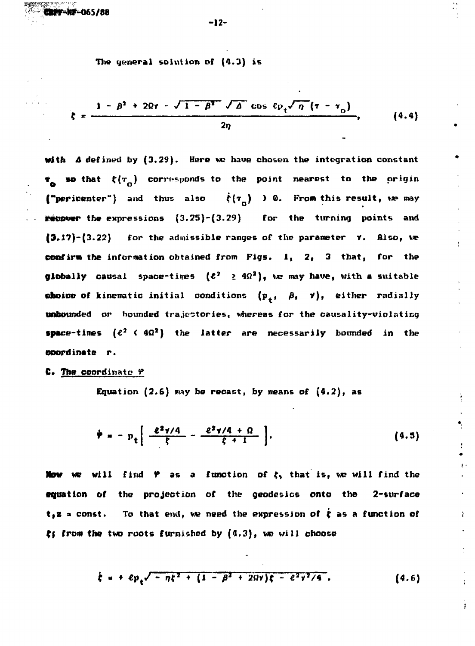**CifK-Nr-065/88**

**The general solution of (4.3) is**

$$
\zeta = \frac{1 - \beta^2 + 2\Omega\tau - \sqrt{1 - \beta^2} \sqrt{\Delta} \cos \ell p_{\ell} \sqrt{\eta} (\tau - \tau_0)}{2\eta}, \qquad (4.4)
$$

**With A defined by (3.29). Here we have chosen the integration constant \*** so that  $\xi(r_n)$  corresponds to the point nearest to the origin **("pericenter")** and thus also  $\dot{\xi}(\tau_n)$  ) 0. From this result, we may **recover the expressions (3.25)-(3.29) for the turning points and (3.J?)-(3.22) for the admissible ranges of the parameter V. Also, we confirm the information obtained from Figs. 1, 2, 3 that, for the globally** causal space-times  $(e^2 \geq 4\Omega^2)$ , we may have, with a suitable **choice of kinematic initial conditions**  $(p_+, \beta, \gamma)$ **, either radially unbounded or bounded trajectories, whereas for the causality-violating •pace-tines (€<sup>2</sup> < 4Q<sup>2</sup>) the latter are necessarily bounded in the coordinate r.**

**C. The coordinate 9**

Equation  $(2.6)$  may be recast, by means of  $(4.2)$ , as

$$
\dot{\boldsymbol{\varphi}} = - p_t \left[ \frac{e^2 \gamma / 4}{\zeta} - \frac{e^2 \gamma / 4 + \Omega}{\zeta + 1} \right]. \tag{4.5}
$$

**Now we will find**  $\varphi$  **as a function of**  $\xi$ **, that is, we will find the equation of the projection of the geodesics onto the 2-surface**  $t$ **, z**  $\alpha$  const. To that end, we need the expression of  $\dot{\xi}$  as a function of **(f from the two roots furnished by (4.3), we will choose**

$$
\dot{\xi} = + e p_{\xi} \sqrt{-\eta \xi^2 + (1 - \beta^2 + 2\Omega \gamma) \xi - e^2 \gamma^2 / 4} \,.
$$
 (4.6)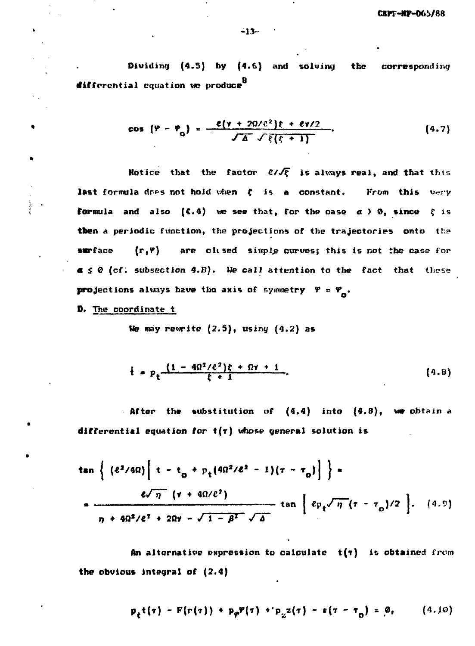**Dividing (4.5) by (4.6) and solving the corresponding g differential equation we produce**

cos 
$$
(\varphi - \varphi_0)
$$
 =  $\frac{e(\gamma + 2\Omega/\mathcal{E}^2)\xi + e\gamma/2}{\sqrt{\Delta} \sqrt{\xi(\xi + 1)}}$ . (4.7)

**Notice that the factor**  $\mathcal{C}/\sqrt{\xi}$  **is always real, and that this** last formula dres not hold when  $\xi$  is a constant. From this very **formula and also (4.4) we see that, for the case**  $\alpha > 0$ **, since**  $\xi$  **is then a periodic function, the projections of the trajectories onto the surface (<sup>r</sup>»?) are cltsed simple curves; this is not the case for a**  $\leq$  0 (cf: subsection 4.B). We call attention to the fact that these **projections always have the axis of symmetry**  $Y = Y_-.$ 

**D. The coordinate t**

**Me may rewrite (2.5), usiny (4.2) as**

$$
\dot{t} = p_t \frac{(1 - 4\Omega^2/\ell^2)\xi + \Omega\gamma + 1}{\xi + 1}.
$$
 (4.8)

**After the substitution of (4.4) into (4.8), vm obtain a differential equation for t(r) whose general solution is**

$$
\tan \left\{ \left. \left( \frac{e^2}{4\Omega} \right) \left[ \frac{t - t_0 + p_t (4\Omega^2/\ell^2 - 1)(\tau - \tau_0)}{\sqrt{\eta} \left( \frac{y + 4\Omega/\ell^2}{\rho} \right)} \right] \right\} \right\}
$$
\n
$$
= \frac{e\sqrt{\eta} \left( \frac{y + 4\Omega/\ell^2}{\rho} \right)}{\eta + 4\Omega^2/\ell^2 + 2\Omega y - \sqrt{1 - \beta^2} \sqrt{\Delta}} \tan \left[ \frac{e_{\frac{\rho}{\ell}} \sqrt{\eta} (\tau - \tau_0)}{2} \right] \right]. \quad (4.9)
$$

An alternative expression to calculate  $t(\tau)$  is obtained from **the obvious integral of (2.4)**

$$
p_{t}(t) - F(r(t)) + p_{\varphi} \varphi(\tau) + p_{z}(t) - F(r - \tau_{0}) = 0, \qquad (4.10)
$$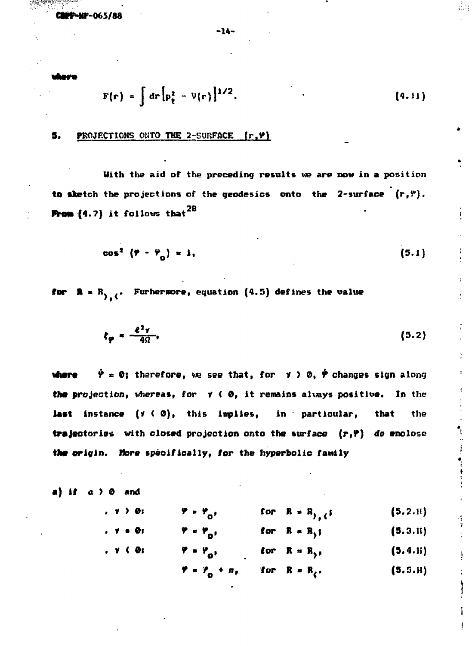**CWF-NF-065/88**

**- U -**

$$
F(r) = \int dr \left[ p_{t}^{2} - V(r) \right]^{1/2}.
$$
 (4.11)

# 5. PROJECTIONS OKTO **THE** 2-SURFACE **(r.V»l**

**With the aid of the preceding results we are now in a** position to sketch the projections of the geodesics onto the  $2$ -surface  $(r, r)$ . **From**  $(4.7)$  **it follows that**  $^{28}$ 

$$
\cos^2(\mathbf{Y}-\mathbf{Y}_n)=1,\tag{5.1}
$$

**for**  $R = R$ ,  $\left\{ \cdot \right\}$  Furhermore, equation  $\{4.5\}$  defines the value

$$
\xi_{\mathbf{p}} = \frac{e^2 \gamma}{4\Omega}, \tag{5.2}
$$

 $\dot{\varphi} = 0$ ; therefore, we see that, for  $\varphi > 0$ ,  $\dot{\varphi}$  changes sign along vhere **the** projection, vhereas, for Y < 0, it remains altays positive. In the last instance (y ( 0), this implies, in particular, that the trajectories with closed projection onto the surface  $(r, r)$  do enclose the origin. More specifically, for the hyperbolic family

a) if 
$$
a > 0
$$
 and

**, y**  $\bm{o}$ **\*' V** for  $R = R_{1,6}$ **(5,2.1!)**

- **. y**  $\boldsymbol{o_i}$  $\varphi = \varphi_0,$ <br> $\varphi = \varphi_0,$ for R = R<sub>)</sub>; (5.3.H)
- **. y** ( 0i for R = R<sub>2</sub>,  $(5.4.ii)$

 $\mathcal{V} = \mathcal{V}_0 + n_t$ for  $R = R_{\ell}$ .  $(5.5.H)$ 

 !  $\frac{1}{2}$  =  $\frac{1}{2}$  =  $\frac{1}{2}$  =  $\frac{1}{2}$  =  $\frac{1}{2}$  =  $\frac{1}{2}$  =  $\frac{1}{2}$  =  $\frac{1}{2}$  =  $\frac{1}{2}$  =  $\frac{1}{2}$  =  $\frac{1}{2}$  =  $\frac{1}{2}$  =  $\frac{1}{2}$  =  $\frac{1}{2}$  =  $\frac{1}{2}$  =  $\frac{1}{2}$  =  $\frac{1}{2}$  =  $\frac{1}{2}$  =  $\frac{1$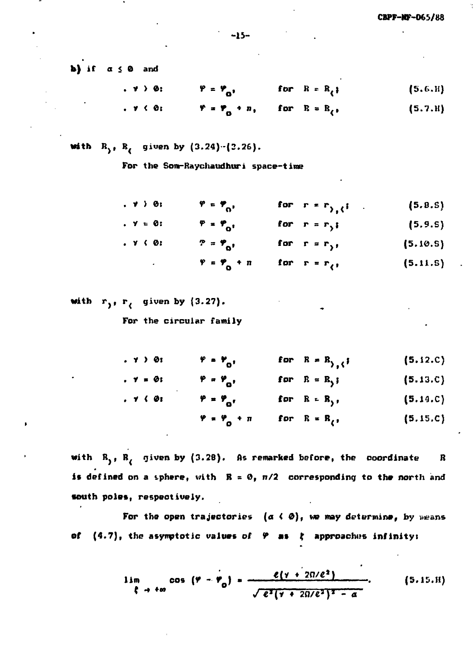**•**

**if a <** 0 **and**

i . y **> 0: 9-9 <sup>o</sup>.** for  $R = R$ <sub>(</sub>) **(5.** £ **•H)**

i . y < 0:  $\mathbf{y} = \mathbf{y}_0 + \mathbf{n}_1$ for  $R = R$ <sub>(</sub> $\cdot$ (5. **7 .H)**

**with**  $R_2$ ,  $R_6$  given by  $(3.24) - (3.26)$ .

**For the Sore-Raychaudhuri space-time**

$$
\mathbf{v} \rightarrow \mathbf{0} \mathbf{i} \qquad \mathbf{v} = \mathbf{v}_0, \qquad \text{for } \mathbf{r} = \mathbf{r}_{\lambda, \lambda} \mathbf{i} \tag{5.8.5}
$$

$$
\mathbf{v} = \mathbf{0} \quad \mathbf{v} = \mathbf{v}_0 \quad \text{for} \quad \mathbf{r} = \mathbf{r}_1 \tag{5.9.5}
$$

$$
\mathbf{P} = \mathbf{P}_0, \quad \text{for } r = r_1, \quad (5.10.5)
$$

$$
\mathbf{Y} = \mathbf{Y}_0 + n \quad \text{for} \quad \mathbf{r} = \mathbf{r}_1, \tag{5.11.5}
$$

**with r< given by (3.27).**

**For the circular family**

. y .  $\gamma = \emptyset$ . y  $\mathbf{v} = \mathbf{v}_0$  $\varphi = \varphi_{\alpha}$  $\varphi = \varphi_{\alpha},$ **V « ? • n o** for  $R = R_{\lambda}$ ; for  $R = R$ ,; **for R-R> ,** for  $R = R$ <sub>(</sub> $,$ **(5.J2.C) (5.13.C) (5.14.C) (5.15.C)**

with R<sub>1</sub>, R<sub>2</sub> given by (3.28). As remarked before, the coordinate R **is defined on a sphere, with**  $R = 0$ **,**  $n/2$  **corresponding to the north and south poles, respectively.**

For the open trajectories  $(a \leftarrow \emptyset)$ , we may determine, by weans **of (4.7), the asynptotic values of 9 as % approaches infinityt**

$$
\lim_{\xi \to +\infty} \cos (\varphi - \varphi_0) = \frac{\ell(\gamma + 2\pi/\ell^2)}{\sqrt{\ell^2(\gamma + 2\pi/\ell^2)^2 - \alpha}}.
$$
 (5.15.11)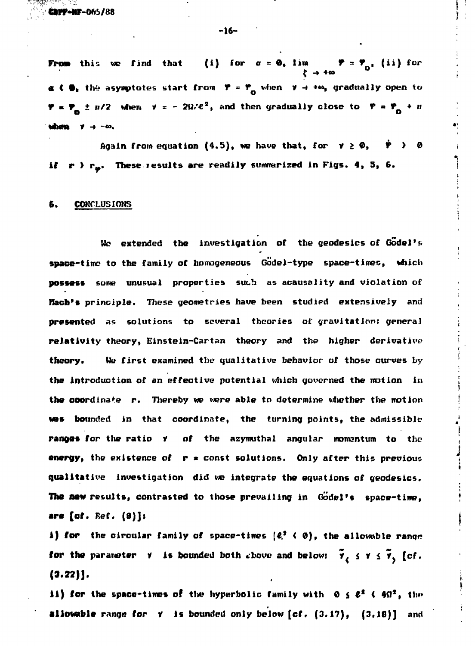**CBPF-NF-065/88** 

-16-

**From** this we find that (i) for  $\alpha = 0$ , lim  $\gamma = \gamma_{0}$ , (ii) for **a C**  $\theta_1$  the asymptotes start from  $P = P_0$  when  $V \rightarrow +\infty$ , gradually open to **P** =  $\mathbf{P}_0$  ±  $n/2$  when  $\mathbf{v} = -2\Omega/\mathcal{C}^2$ , and then gradually close to  $\mathbf{P} = \mathbf{P}_0 + n$ **'when y -» -no. \*!**

Again from equation  $(4.5)$ , we have that, for  $\mathbf{v} \geq \mathbf{0}$ ,  $\dot{\mathbf{v}} \to \mathbf{0}$ if  $r$   $\rangle$   $r_{\omega}$ . These results are readily summarized in Figs. 4, 5, 6.

> i t

### 6. CONCLUSIONS

We extended the investigation of the geodesics of Godel's **space-tine to the family of homogeneous Godel-type space-times, which possess some unusual properties such as acausality and violation of Kach's principle. These geometries have been studied extensively and presented as solutions to several theories of gravitation: general relativity theory, Einstein-Cartan theory and the higher derivative theory• Me first examined the qualitative behavior of those curves by the introduction of an effective potential which governed the notion in the coordinate r.** Thereby we were able to determine viether the motion **was bounded in that coordinate, the turning points, the admissible** ranges for the ratio **Y** of the azymuthal angular momentum to the **energy, the existence of r « const solutions. Only after this previous qualitative investigation did we integrate the equations of geodesies. The new results, contrasted to those prevailing in Godel's space-time, •re (of. Kef. (8)]t**

**A) for the circular family of space-times {£.\* < 0), the allowable range for the parameter**  $\gamma$  **is bounded both shove and below:**  $\tilde{\gamma}_e \leq \gamma \leq \tilde{\gamma}_e$  [cf. **(3.22)].**

**II) for the space-times of the hyperbolic family with**  $\theta \leq \ell^2$  **(** $4\Omega^2$ **, the allowable** range **for** r is bounded only below **[cf**. (3.17), (3.18)] **and**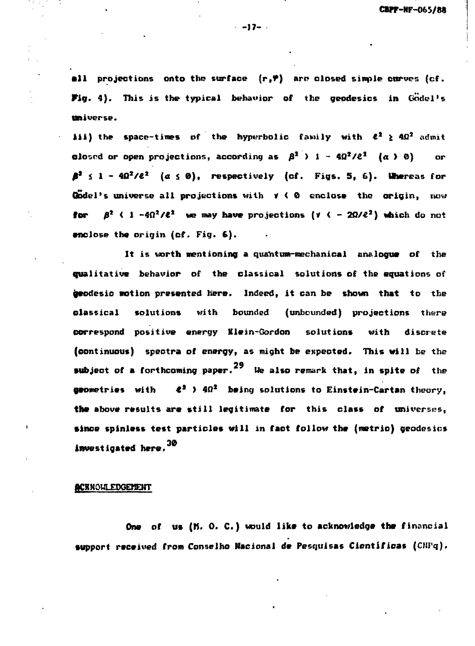**•11 projections onto the surface (r,P) are closed simple curves (cf. W g . 4). This is the typical behavior of the geodesies in Godel's Universe.**

**iii)** the space-times of the hyperbolic family with  $\ell^2 \ge 40^2$  admit **clo**sed or open projections, according as  $\beta^2$  > 1 -  $4\Omega^2/\ell^2$  ( $\alpha$  > 0) or  $\beta^2$   $\leq$  1 -  $4\Omega^2/\ell^2$  ( $\alpha \leq \theta$ ), respectively (cf. Figs. 5, 6). Whereas for **Godel's universe all projections with V < 0 enclose the origin, now tor**  $\beta^2$   $\langle$  1 -4 $\Omega^2/\ell^2$  we may have projections ( $\gamma$   $\langle$  - 2 $\Omega/\ell^2$ ) which do not **enclose the origin (cf. Fig. 6).**

It is worth mentioning a quantum-mechanical analogue of the **qualitative behavior of the classical solutions of the equations of geodesic motion presented here. Indeed, it can be shown that to the elassical solutions with bounded (unbounded) projections there correspond positive energy Klein-Gordon solutions with discrete (continuous) spectra of energy, as might be expected. This will be the 29 subject of a forthcoming paper. We also remark that, in spite of the geometries with €<sup>2</sup> > 40<sup>s</sup> being solutions to Einstein-Cartan theory, the above results are still legitimate for this class of universes, since spinless test particles will in fact follow the (metric) geodesies investigated here.**

# **ACKNOWLEDGEMENT**

**One of us (M. 0. C.) would like to acknowledge the financial support received from Conselho Macianal de Pesquisas Cientificas (CHPq).**

**-17-**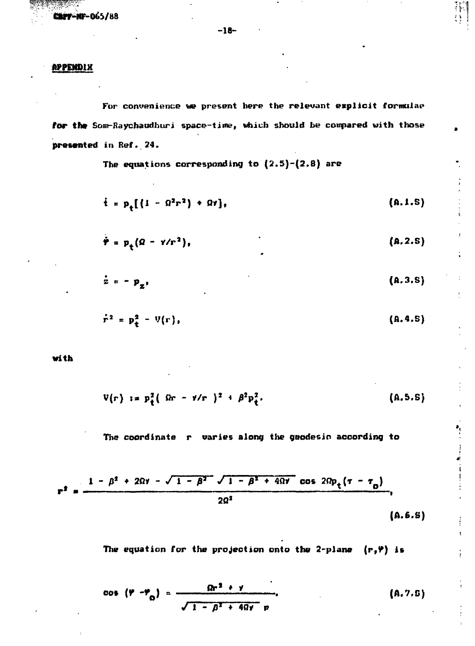**CAPF-NF-065/88** 

# **PPPEHDtX**

**For convenience we present here the relevant explicit formulae\* for the Som-Raychaudhuri space-time, which should be compared with those presented in Ref.. 24.**

**The equations corresponding to (2.5)-(2.8) are**

$$
\dot{t} = p_{*}[(1 - \Omega^{2}r^{2}) + \Omega r], \qquad (A.1.5)
$$

추동

$$
\dot{\mathbf{r}} = \mathbf{p}_t (\Omega - \gamma/r^2), \qquad (A.2.5)
$$

$$
\dot{\mathbf{z}} = -\mathbf{p}_{\mathbf{z}},\tag{A.3.8}
$$

$$
\dot{r}^2 = p_+^2 - V(r), \qquad (A.4.5)
$$

**with**

$$
V(r) \t is p_{t}^{2} ( \delta r - \nu/r )^{2} + \beta^{2} p_{t}^{2}. \t (A.5.5)
$$

**The coordinate r varies along the geodesic according to**

$$
r^{2} = \frac{1 - \beta^{2} + 2\Omega\gamma - \sqrt{1 - \beta^{2}} \sqrt{1 - \beta^{2} + 4\Omega\gamma} \cos 2\Omega p_{t} (\tau - \tau_{0})}{2\Omega^{2}},
$$
\n(A.6.5)

The equation for the projection onto the 2-plane  $(r, \Psi)$  is

$$
\cos (\varphi - \varphi_0) = \frac{\Omega r^2 + \gamma}{\sqrt{1 - \beta^2 + 4\Omega \gamma} r}.
$$
 (A.7.5)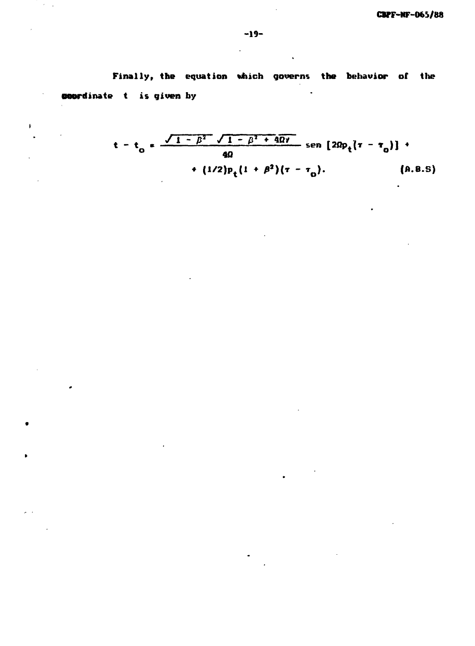**Finally, the equation which governs the behavior of the coordinate t is given by**  $\ddot{\phantom{a}}$ 

 $\mathcal{L}^{\mathcal{L}}$ 

$$
t - t_0 = \frac{\sqrt{1 - \beta^2} \sqrt{1 - \beta^2 + 4\Omega t}}{4\Omega} \text{ sen } [2\Omega p_t(\tau - \tau_0)] + (1/2)p_t(1 + \beta^2)(\tau - \tau_0). \qquad (A.8.5)
$$

 $\ddot{\phantom{a}}$ 

 $\overline{r}=\overline{r}$ 

 $\sim$ 

 $\mathbf{r}$ 

٠

 $\mathbf{r}$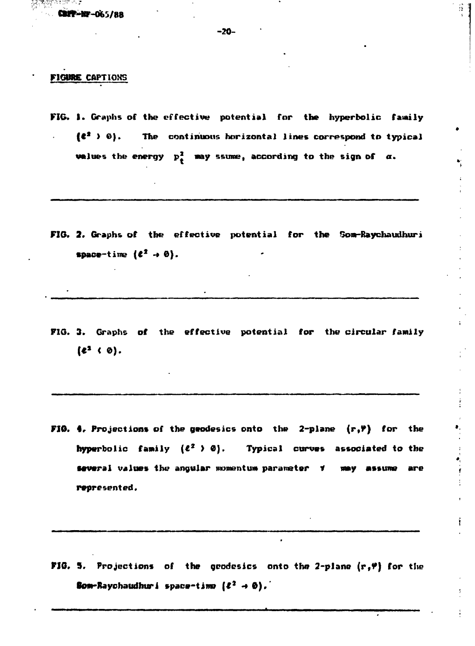ere vym skl

#### **FIGBBE** CAPTIONS

**FIG. 1. Graphs of the effective potential for the hyperbolic family (t\* > ©). The continuous horizontal lines correspond to typical values the energy**  $p_t^2$  **may ssume, according to the sign of**  $\alpha$ **.** 

FIG. 2. Graphs of the effective potential for the Som-Raychaudhuri  $space-time (c^2 \rightarrow 0).$ 

**FIG. 3. Graphs of the effective potential for the circular family**  $({e}^{2} \cdot 0).$ 

**FIG. 4. Projections of the geodesics onto the 2-plane (r, P) for the hyperbolic family (£<sup>z</sup> > 0). Typical curves associated to the • several values the angular momentum parameter f may assume are , represented.**

**#,**

 $\frac{1}{2}$ 

**FIG. 5. Projections of the geodesies onto the 2-plane (rf?) for** the **Bom-Raychaudhuri space-time**  $(\ell^2 \to \emptyset)$ .

 $\bullet$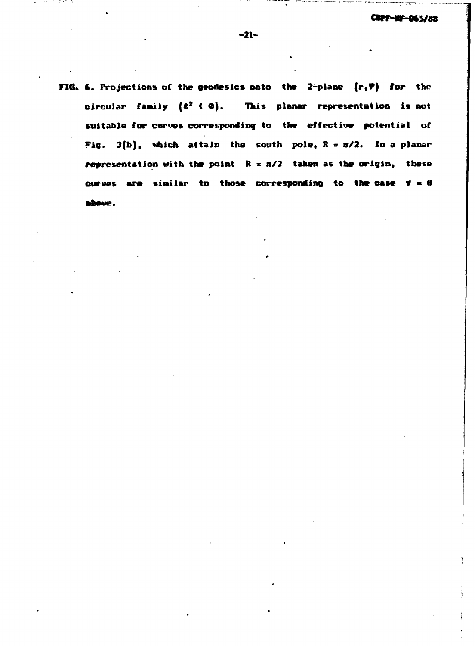**FIO. 6. Projections of the geodesies onto the 2-plane (r,P) for the** circular family ( $e^2$  ( $\phi$ ). This planar representation is not **suitable for curves corresponding to the effective potential of Fig. 3(b), which attain the south pole, R = 0/2. In a planar representation with the point R \* n/2 taken as the origin, these curves are similar to those corresponding to the case Y » 0**above.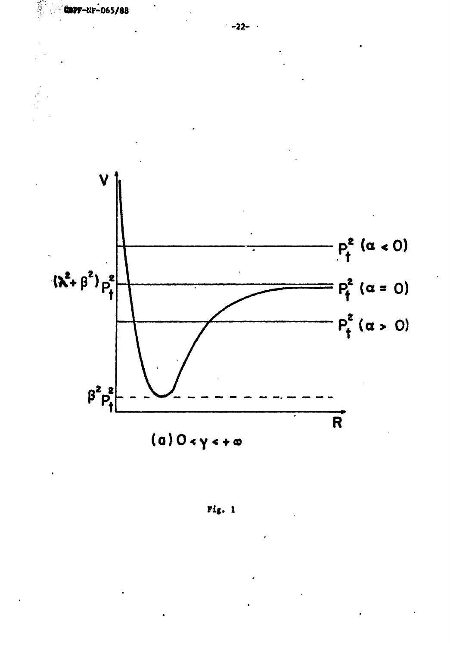

 $Pig. 1$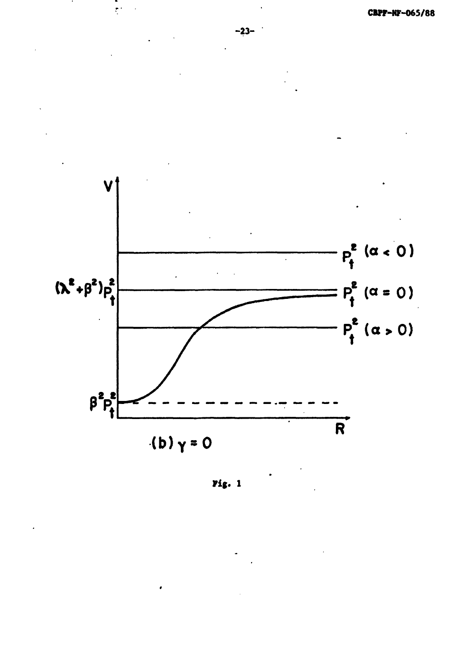

 $Pig. 1$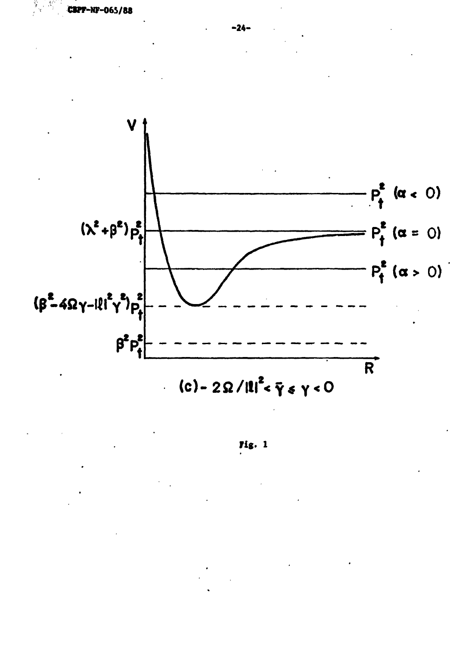

Tig. 1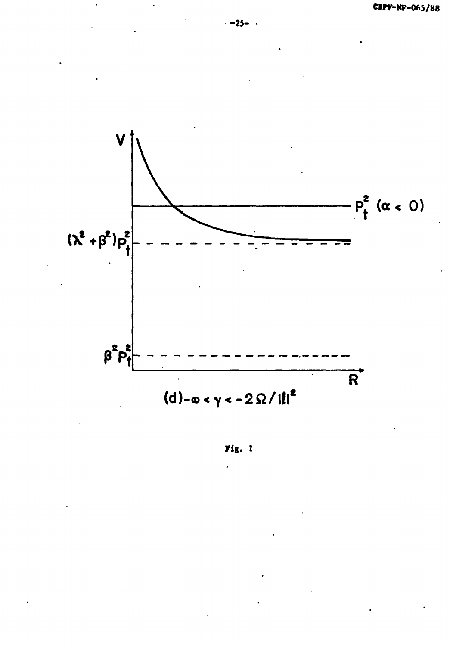

Fig. 1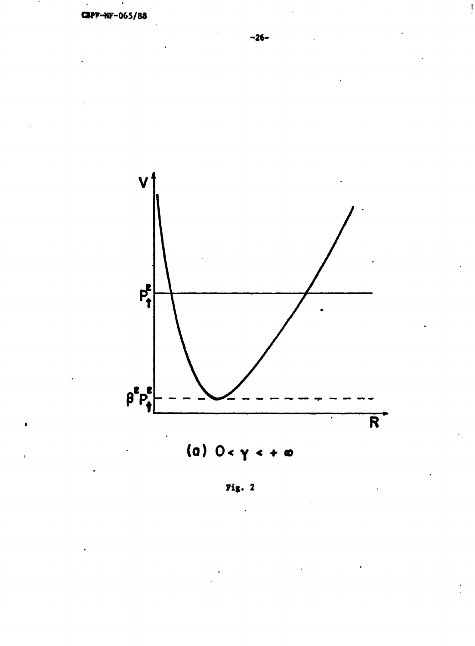

**Fig. 2**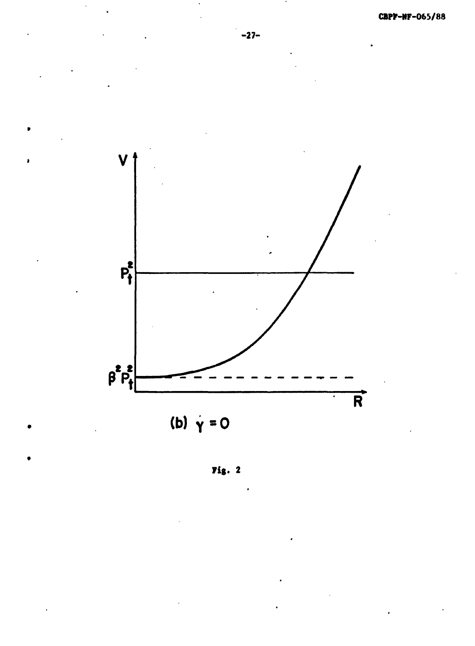

Fig.  $2$ 

 $\ddot{\phantom{a}}$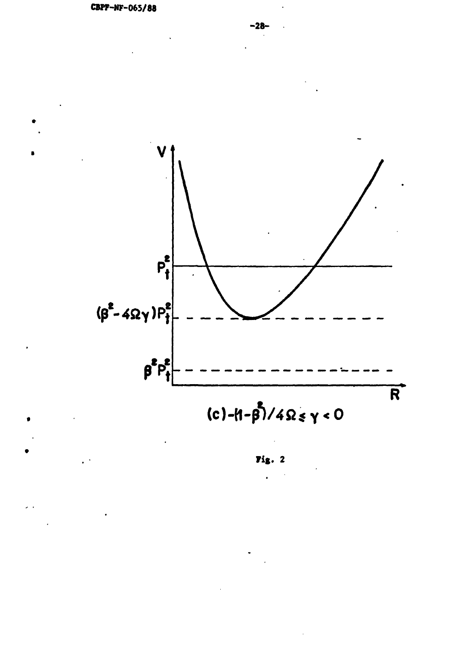

 $(c) - (1 - \beta)/4 \Omega \le \gamma < 0$ 

Fig.  $2$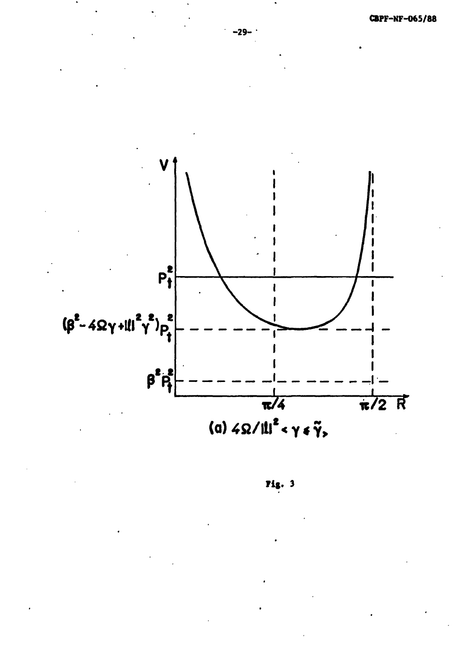

Fig. 3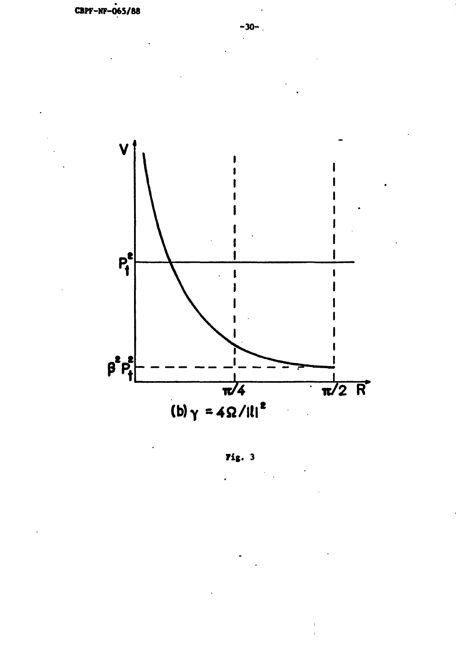

 $\overline{r}$ ig. 3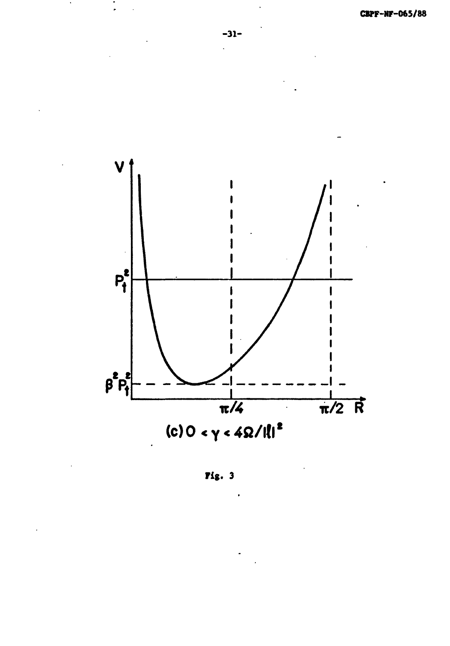

**Fig. 3**

 $\ddot{\phantom{a}}$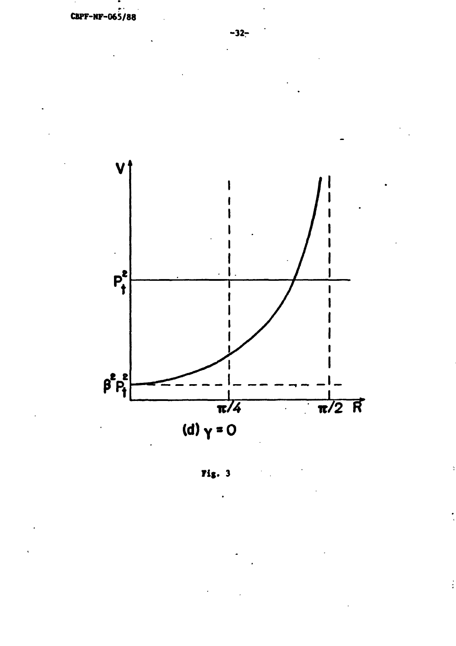

**Fig. 3**

 $\ddot{\ddot{\cdot}}$ 

 $\frac{1}{2}$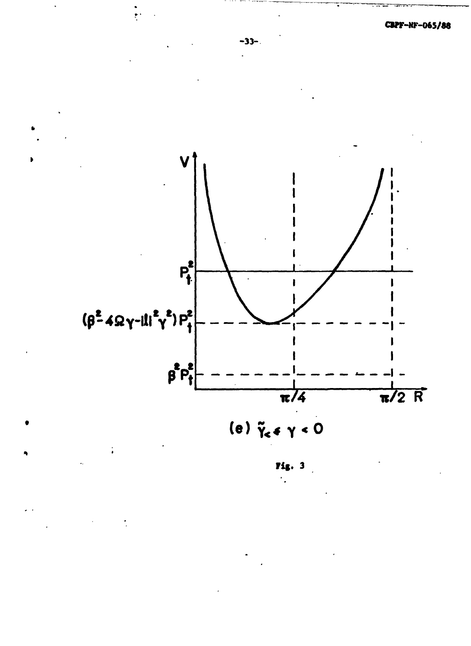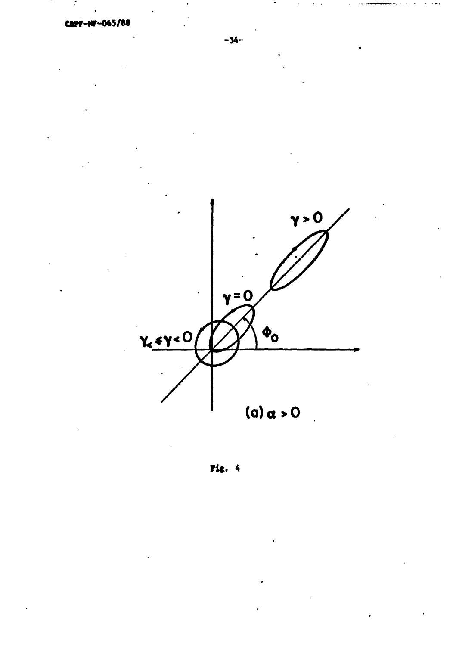

Fig. 4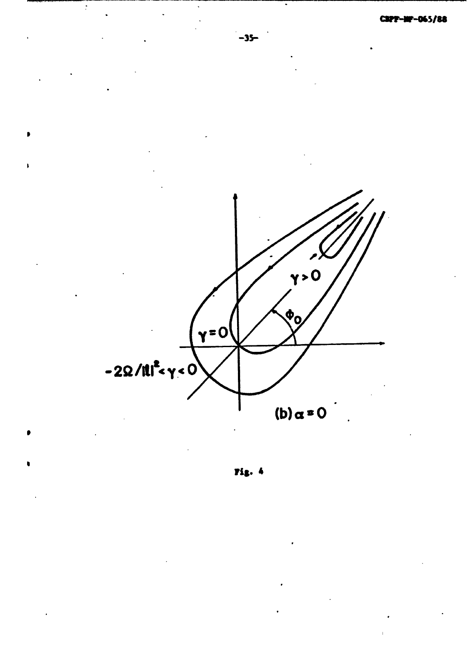

Fig. 4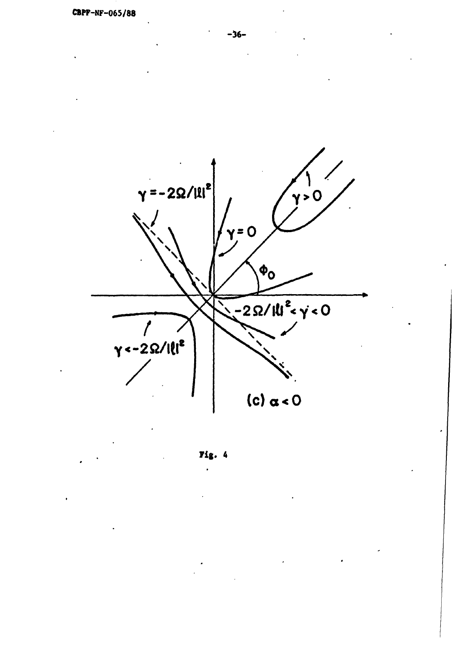

Fig. 4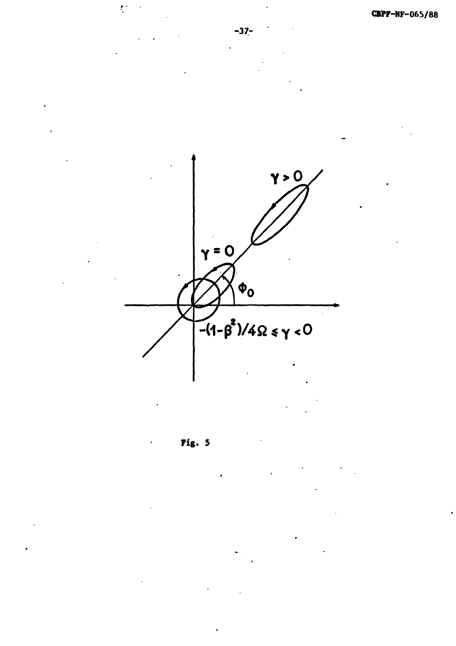$\hat{\mathbf{r}}$ **CBPF-NF-065/88 -37-**  $\gamma > 0$  $y = 0$  $\phi$ <sub>0</sub>  $-(1-\beta^2)/4\Omega \le \gamma < 0$ **Fig. 5**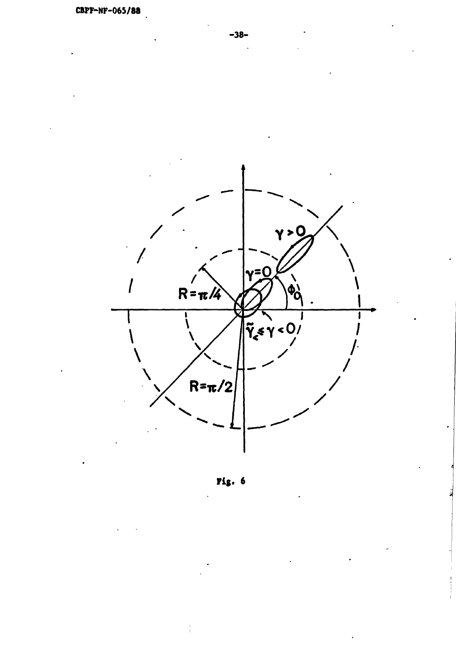

**Fig. 6**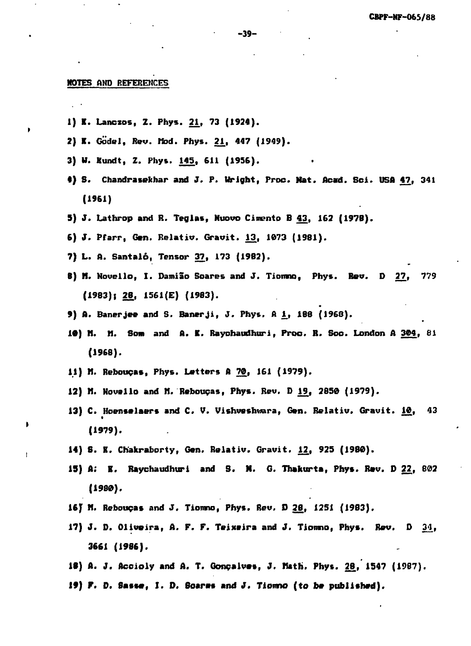#### **HOTES AND BEKKKEHCES**

- 1) K. Lanczos, Z. Phys. 21, 73 (1924).
- **2) K. Godel, Rev. Mod. Phys. 21., 447 (1949).**
- **3) W. Kundt, Z. Phys. 145, 611 (1956).**
- **«) S. Chandrasebhar and J. P. Uright, Pros. Hat. Acatd. Sci. ISA 47, 341 (1961)**
- **5) J. Lathrop and R. Teglas, Muovo Cimento B 43, 162 (1978).**
- **6) J. Pfarr, Gen. Relativ. Gravit. 13, 1073 (1981).**
- **7) L. A. Santalo, Tensor 37, 173 (1982).**
- **8) H. Novello, I. Damiao Boares and J. Tionmo, Phys. Rev. D 27, 779 (1983); 28, 1561(E) (1983).**
- **9) A. Banerjee and S. Banerji, J. Phys. A 1., 188 (1968).**
- **10) N. II. Som and A. K. Raychaudhuri, Proo. R. Soc. London A 304, 81 (1968).**
- 11) M. Rebouças, Phys. Letters A 70, 161 (1979).
- **12) fl. Novallo and M. Reboucas, Phys. Rev. D 1£( 2850 (1979).**
- **13) C. Hoensalaers and C. V. Vishveshwara, Gen. Relativ. Gravit. 10, 43 (1979).**
- **14) 6. K. Chakraborty, Gen. Relativ. Gravit. 12, 925 (1980).**
- **15) A; K. Raychaudhuri and S. N. G. Thafcurta, Phys. Rev. D 22, 802 (1980).**
- **16) n. Reboupas and J. Tiomno, Phys. Rev, D 2£, 1251 (1983).**
- **17) J. D. Oliveira, A. F. F. Teixeira and J. Tiomno, Phys. Rev. D 3jl, 3661 (1986).**
- 18) A. J. Accioly and A. T. Gonçalves, J. Math. Phys. 28, 1547 (1987).
- **If) F. D. Sasse, X. D. 6oares and J. Tiomno (to be published).**